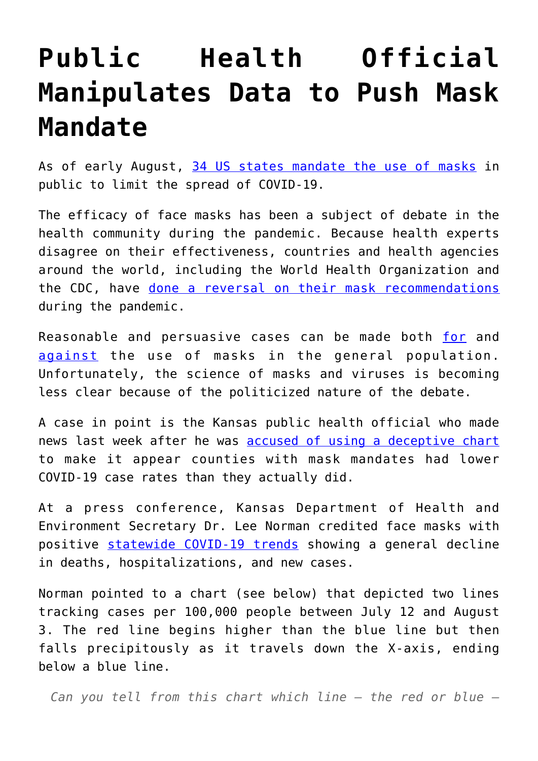## **[Public Health Official](https://intellectualtakeout.org/2020/08/public-health-official-manipulates-data-to-push-mask-mandate/) [Manipulates Data to Push Mask](https://intellectualtakeout.org/2020/08/public-health-official-manipulates-data-to-push-mask-mandate/) [Mandate](https://intellectualtakeout.org/2020/08/public-health-official-manipulates-data-to-push-mask-mandate/)**

As of early August, [34 US states mandate the use of masks](https://www.aarp.org/health/healthy-living/info-2020/states-mask-mandates-coronavirus.html) in public to limit the spread of COVID-19.

The efficacy of face masks has been a subject of debate in the health community during the pandemic. Because health experts disagree on their effectiveness, countries and health agencies around the world, including the World Health Organization and the CDC, have [done a reversal on their mask recommendations](https://www.webmd.com/lung/news/20200608/who-changes-stance-says-public-should-wear-masks) during the pandemic.

Reasonable and persuasive cases can be made both [for](https://fee.org/articles/voluntarily-wearing-masks-can-save-lives-and-open-the-economy-faster/) and [against](https://www.cidrap.umn.edu/news-perspective/2020/04/commentary-masks-all-covid-19-not-based-sound-data) the use of masks in the general population. Unfortunately, the science of masks and viruses is becoming less clear because of the politicized nature of the debate.

A case in point is the Kansas public health official who made news last week after he was [accused of using a deceptive chart](https://www.ksn.com/news/health/coronavirus/coronavirus-in-kansas/kansas-policy-institue-ceo-criticizes-kdhe-secretary-dr-lee-norman-for-deceptive-map/) to make it appear counties with mask mandates had lower COVID-19 case rates than they actually did.

At a press conference, Kansas Department of Health and Environment Secretary Dr. Lee Norman credited face masks with positive [statewide COVID-19 trends](https://www.worldometers.info/coronavirus/usa/kansas/) showing a general decline in deaths, hospitalizations, and new cases.

Norman pointed to a chart (see below) that depicted two lines tracking cases per 100,000 people between July 12 and August 3. The red line begins higher than the blue line but then falls precipitously as it travels down the X-axis, ending below a blue line.

*Can you tell from this chart which line — the red or blue —*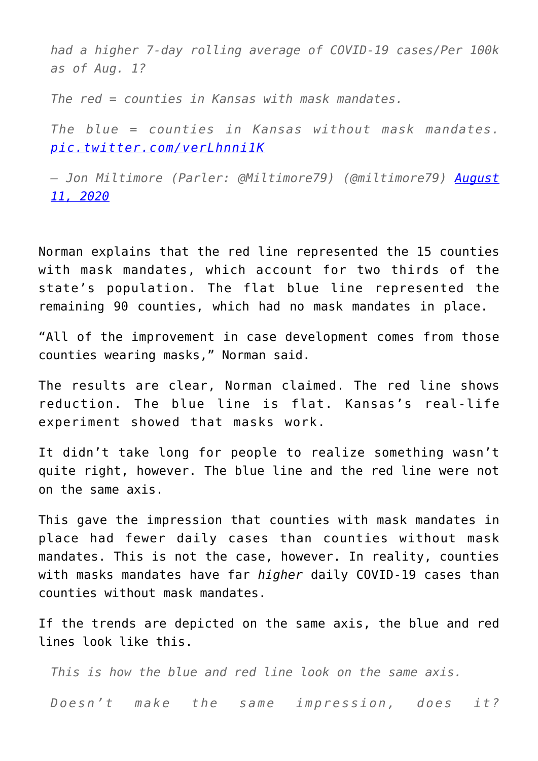*had a higher 7-day rolling average of COVID-19 cases/Per 100k as of Aug. 1?*

*The red = counties in Kansas with mask mandates.*

*The blue = counties in Kansas without mask mandates. [pic.twitter.com/verLhnni1K](https://t.co/verLhnni1K)*

*— Jon Miltimore (Parler: @Miltimore79) (@miltimore79) [August](https://twitter.com/miltimore79/status/1293274454618001409?ref_src=twsrc%5Etfw) [11, 2020](https://twitter.com/miltimore79/status/1293274454618001409?ref_src=twsrc%5Etfw)*

Norman explains that the red line represented the 15 counties with mask mandates, which account for two thirds of the state's population. The flat blue line represented the remaining 90 counties, which had no mask mandates in place.

"All of the improvement in case development comes from those counties wearing masks," Norman said.

The results are clear, Norman claimed. The red line shows reduction. The blue line is flat. Kansas's real-life experiment showed that masks work.

It didn't take long for people to realize something wasn't quite right, however. The blue line and the red line were not on the same axis.

This gave the impression that counties with mask mandates in place had fewer daily cases than counties without mask mandates. This is not the case, however. In reality, counties with masks mandates have far *higher* daily COVID-19 cases than counties without mask mandates.

If the trends are depicted on the same axis, the blue and red lines look like this.

*This is how the blue and red line look on the same axis. Doesn't make the same impression, does it?*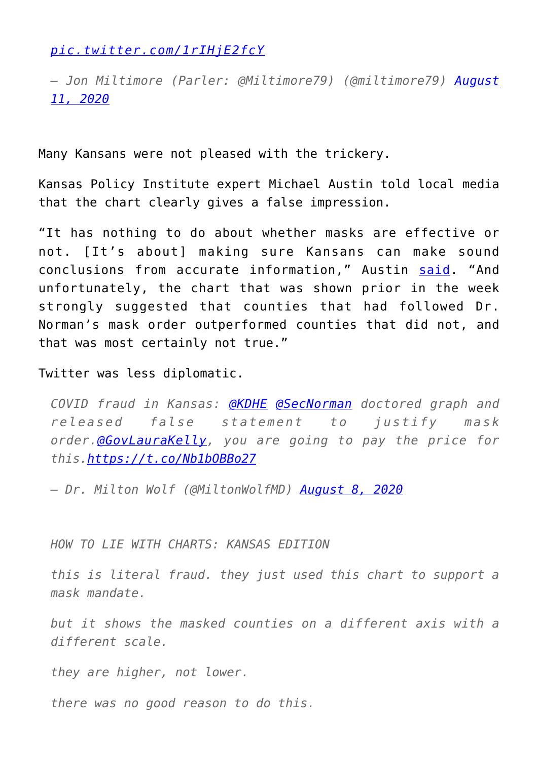*[pic.twitter.com/1rIHjE2fcY](https://t.co/1rIHjE2fcY)*

*— Jon Miltimore (Parler: @Miltimore79) (@miltimore79) [August](https://twitter.com/miltimore79/status/1293279826640547840?ref_src=twsrc%5Etfw) [11, 2020](https://twitter.com/miltimore79/status/1293279826640547840?ref_src=twsrc%5Etfw)*

Many Kansans were not pleased with the trickery.

Kansas Policy Institute expert Michael Austin told local media that the chart clearly gives a false impression.

"It has nothing to do about whether masks are effective or not. [It's about] making sure Kansans can make sound conclusions from accurate information," Austin [said.](https://www.kwch.com/2020/08/10/kdhe-says-covid-19-mask-graph-used-last-week-was-accurate-despite-claims-it-was-misleading/) "And unfortunately, the chart that was shown prior in the week strongly suggested that counties that had followed Dr. Norman's mask order outperformed counties that did not, and that was most certainly not true."

Twitter was less diplomatic.

*COVID fraud in Kansas: [@KDHE](https://twitter.com/KDHE?ref_src=twsrc%5Etfw) [@SecNorman](https://twitter.com/SecNorman?ref_src=twsrc%5Etfw) doctored graph and released false statement to justify mask order.[@GovLauraKelly](https://twitter.com/GovLauraKelly?ref_src=twsrc%5Etfw), you are going to pay the price for this.<https://t.co/Nb1bOBBo27>*

*— Dr. Milton Wolf (@MiltonWolfMD) [August 8, 2020](https://twitter.com/MiltonWolfMD/status/1292108425133010946?ref_src=twsrc%5Etfw)*

## *HOW TO LIE WITH CHARTS: KANSAS EDITION*

*this is literal fraud. they just used this chart to support a mask mandate.*

*but it shows the masked counties on a different axis with a different scale.*

*they are higher, not lower.*

*there was no good reason to do this.*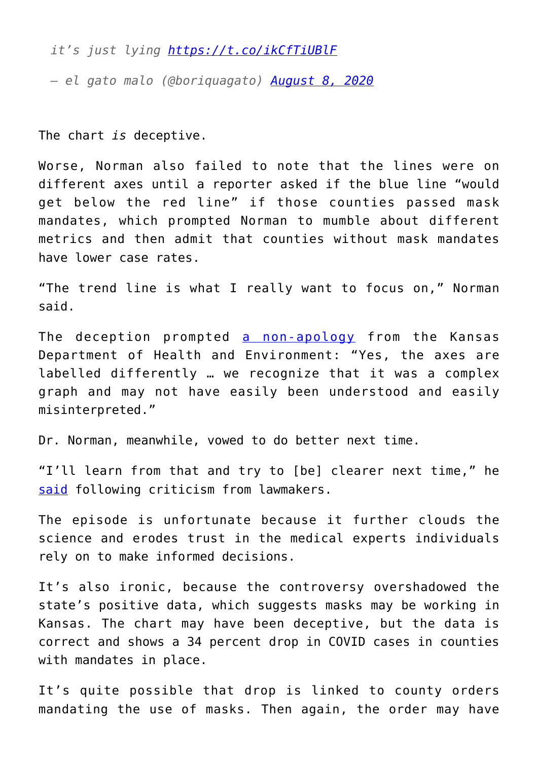*it's just lying<https://t.co/ikCfTiUBlF>*

*— el gato malo (@boriquagato) [August 8, 2020](https://twitter.com/boriquagato/status/1292116160859840512?ref_src=twsrc%5Etfw)*

The chart *is* deceptive.

Worse, Norman also failed to note that the lines were on different axes until a reporter asked if the blue line "would get below the red line" if those counties passed mask mandates, which prompted Norman to mumble about different metrics and then admit that counties without mask mandates have lower case rates.

"The trend line is what I really want to focus on," Norman said.

The deception prompted [a non-apology](https://www.cbs19news.com/story/42475870/kansas-reports-1092-new-covid19-cases-7-more-deaths-since-friday) from the Kansas Department of Health and Environment: "Yes, the axes are labelled differently … we recognize that it was a complex graph and may not have easily been understood and easily misinterpreted."

Dr. Norman, meanwhile, vowed to do better next time.

"I'll learn from that and try to [be] clearer next time," he [said](https://www.kwch.com/2020/08/10/kdhe-says-covid-19-mask-graph-used-last-week-was-accurate-despite-claims-it-was-misleading/) following criticism from lawmakers.

The episode is unfortunate because it further clouds the science and erodes trust in the medical experts individuals rely on to make informed decisions.

It's also ironic, because the controversy overshadowed the state's positive data, which suggests masks may be working in Kansas. The chart may have been deceptive, but the data is correct and shows a 34 percent drop in COVID cases in counties with mandates in place.

It's quite possible that drop is linked to county orders mandating the use of masks. Then again, the order may have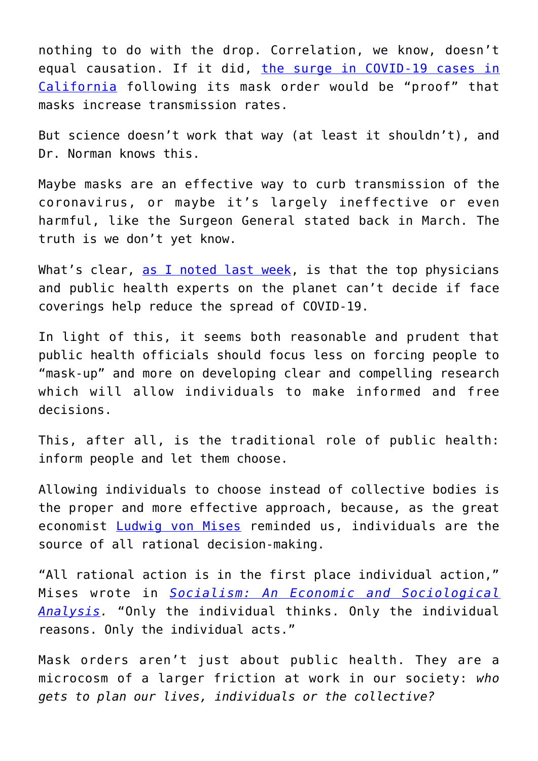nothing to do with the drop. Correlation, we know, doesn't equal causation. If it did, [the surge in COVID-19 cases in](https://justthenews.com/politics-policy/coronavirus/one-month-after-statewide-mask-mandate-california-daily-case-average) [California](https://justthenews.com/politics-policy/coronavirus/one-month-after-statewide-mask-mandate-california-daily-case-average) following its mask order would be "proof" that masks increase transmission rates.

But science doesn't work that way (at least it shouldn't), and Dr. Norman knows this.

Maybe masks are an effective way to curb transmission of the coronavirus, or maybe it's largely ineffective or even harmful, like the Surgeon General stated back in March. The truth is we don't yet know.

What's clear, [as I noted last week](https://fee.org/articles/europes-top-health-officials-say-masks-arent-helpful-in-beating-covid-19/), is that the top physicians and public health experts on the planet can't decide if face coverings help reduce the spread of COVID-19.

In light of this, it seems both reasonable and prudent that public health officials should focus less on forcing people to "mask-up" and more on developing clear and compelling research which will allow individuals to make informed and free decisions.

This, after all, is the traditional role of public health: inform people and let them choose.

Allowing individuals to choose instead of collective bodies is the proper and more effective approach, because, as the great economist [Ludwig von Mises](https://fee.org/resources/ludwig-von-mises/) reminded us, individuals are the source of all rational decision-making.

"All rational action is in the first place individual action," Mises wrote in *[Socialism: An Economic and Sociological](https://mises.org/library/socialism-economic-and-sociological-analysis) [Analysis](https://mises.org/library/socialism-economic-and-sociological-analysis).* "Only the individual thinks. Only the individual reasons. Only the individual acts."

Mask orders aren't just about public health. They are a microcosm of a larger friction at work in our society: *who gets to plan our lives, individuals or the collective?*